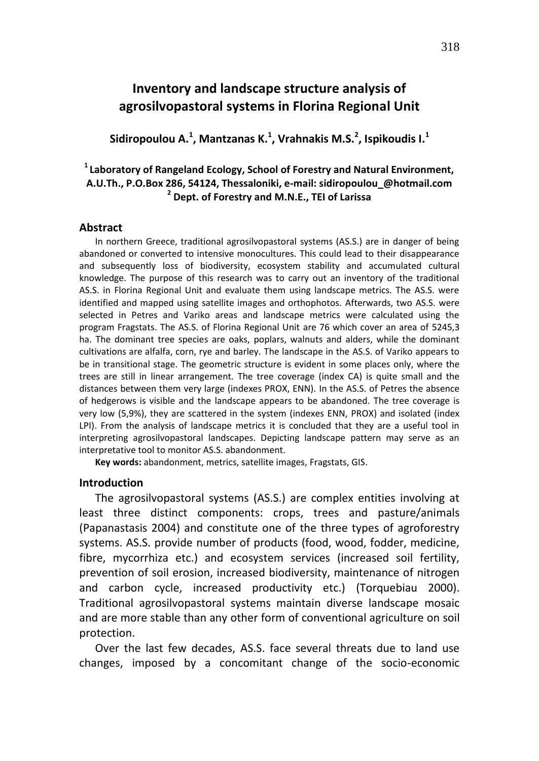## **Inventory and landscape structure analysis of agrosilvopastoral systems in Florina Regional Unit**

**Sidiropoulou Α. 1 , Mantzanas K.<sup>1</sup> , Vrahnakis M.S.<sup>2</sup> , Ispikoudis I.<sup>1</sup>**

## **<sup>1</sup>Laboratory of Rangeland Ecology, School of Forestry and Natural Environment, Α.U.Th., P.O.Box 286, 54124, Thessaloniki, e-mail: sidiropoulou\_@hotmail.com 2 Dept. of Forestry and M.N.E., TEI of Larissa**

#### **Abstract**

In northern Greece, traditional agrosilvopastoral systems (AS.S.) are in danger of being abandoned or converted to intensive monocultures. This could lead to their disappearance and subsequently loss of biodiversity, ecosystem stability and accumulated cultural knowledge. The purpose of this research was to carry out an inventory of the traditional AS.S. in Florina Regional Unit and evaluate them using landscape metrics. The AS.S. were identified and mapped using satellite images and orthophotos. Afterwards, two AS.S. were selected in Petres and Variko areas and landscape metrics were calculated using the program Fragstats. The AS.S. of Florina Regional Unit are 76 which cover an area of 5245,3 ha. The dominant tree species are oaks, poplars, walnuts and alders, while the dominant cultivations are alfalfa, corn, rye and barley. The landscape in the AS.S. of Variko appears to be in transitional stage. The geometric structure is evident in some places only, where the trees are still in linear arrangement. The tree coverage (index CA) is quite small and the distances between them very large (indexes PROX, ENN). In the AS.S. of Petres the absence of hedgerows is visible and the landscape appears to be abandoned. The tree coverage is very low (5,9%), they are scattered in the system (indexes ENN, PROX) and isolated (index LPI). From the analysis of landscape metrics it is concluded that they are a useful tool in interpreting agrosilvopastoral landscapes. Depicting landscape pattern may serve as an interpretative tool to monitor AS.S. abandonment.

**Key words:** abandonment, metrics, satellite images, Fragstats, GIS.

### **Introduction**

The agrosilvopastoral systems (AS.S.) are complex entities involving at least three distinct components: crops, trees and pasture/animals (Papanastasis 2004) and constitute one of the three types of agroforestry systems. AS.S. provide number of products (food, wood, fodder, medicine, fibre, mycorrhiza etc.) and ecosystem services (increased soil fertility, prevention of soil erosion, increased biodiversity, maintenance of nitrogen and carbon cycle, increased productivity etc.) (Torquebiau 2000). Traditional agrosilvopastoral systems maintain diverse landscape mosaic and are more stable than any other form of conventional agriculture on soil protection.

Over the last few decades, AS.S. face several threats due to land use changes, imposed by a concomitant change of the socio-economic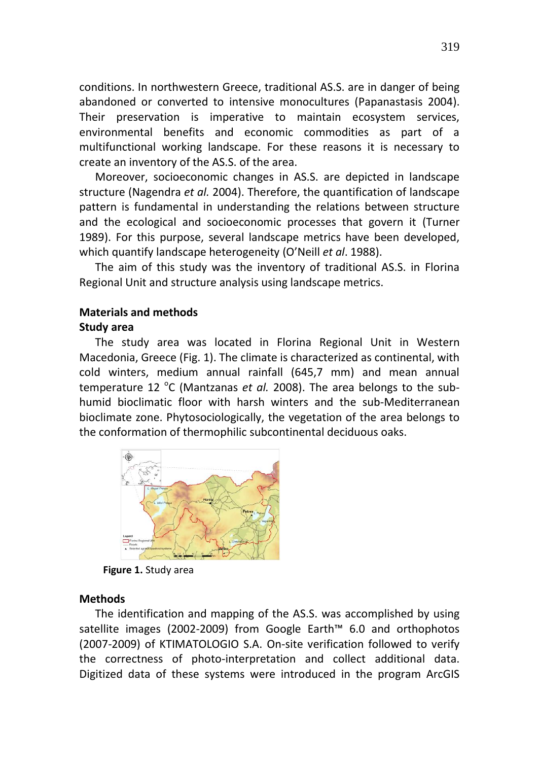conditions. In northwestern Greece, traditional AS.S. are in danger of being abandoned or converted to intensive monocultures (Papanastasis 2004). Their preservation is imperative to maintain ecosystem services, environmental benefits and economic commodities as part of a multifunctional working landscape. For these reasons it is necessary to create an inventory of the AS.S. of the area.

Moreover, socioeconomic changes in AS.S. are depicted in landscape structure (Nagendra *et al.* 2004). Therefore, the quantification of landscape pattern is fundamental in understanding the relations between structure and the ecological and socioeconomic processes that govern it (Turner 1989). For this purpose, several landscape metrics have been developed, which quantify landscape heterogeneity (O'Neill *et al*. 1988).

The aim of this study was the inventory of traditional AS.S. in Florina Regional Unit and structure analysis using landscape metrics.

# **Materials and methods**

## **Study area**

The study area was located in Florina Regional Unit in Western Macedonia, Greece (Fig. 1). The climate is characterized as continental, with cold winters, medium annual rainfall (645,7 mm) and mean annual temperature 12 <sup>o</sup>C (Mantzanas *et al.* 2008). The area belongs to the subhumid bioclimatic floor with harsh winters and the sub-Mediterranean bioclimate zone. Phytosociologically, the vegetation of the area belongs to the conformation of thermophilic subcontinental deciduous oaks.



**Figure 1.** Study area

## **Methods**

The identification and mapping of the AS.S. was accomplished by using satellite images (2002-2009) from Google Earth™ 6.0 and orthophotos (2007-2009) of KTIMATOLOGIO S.A. On-site verification followed to verify the correctness of photo-interpretation and collect additional data. Digitized data of these systems were introduced in the program ArcGIS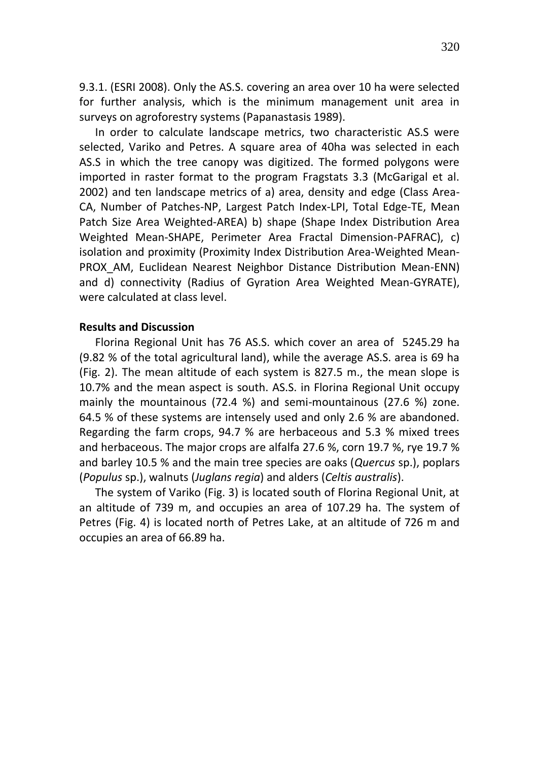9.3.1. (ESRI 2008). Only the AS.S. covering an area over 10 ha were selected for further analysis, which is the minimum management unit area in surveys on agroforestry systems (Papanastasis 1989).

In order to calculate landscape metrics, two characteristic AS.S were selected, Variko and Petres. A square area of 40ha was selected in each AS.S in which the tree canopy was digitized. The formed polygons were imported in raster format to the program Fragstats 3.3 (McGarigal et al. 2002) and ten landscape metrics of a) area, density and edge (Class Area-CA, Number of Patches-NP, Largest Patch Index-LPI, Total Edge-TE, Mean Patch Size Area Weighted-AREA) b) shape (Shape Index Distribution Area Weighted Mean-SHAPE, Perimeter Area Fractal Dimension-PAFRAC), c) isolation and proximity (Proximity Index Distribution Area-Weighted Mean-PROX AM, Euclidean Nearest Neighbor Distance Distribution Mean-ENN) and d) connectivity (Radius of Gyration Area Weighted Mean-GYRATE), were calculated at class level.

## **Results and Discussion**

Florina Regional Unit has 76 AS.S. which cover an area of 5245.29 ha (9.82 % of the total agricultural land), while the average AS.S. area is 69 ha (Fig. 2). The mean altitude of each system is 827.5 m., the mean slope is 10.7% and the mean aspect is south. AS.S. in Florina Regional Unit occupy mainly the mountainous (72.4 %) and semi-mountainous (27.6 %) zone. 64.5 % of these systems are intensely used and only 2.6 % are abandoned. Regarding the farm crops, 94.7 % are herbaceous and 5.3 % mixed trees and herbaceous. The major crops are alfalfa 27.6 %, corn 19.7 %, rye 19.7 % and barley 10.5 % and the main tree species are oaks (*Quercus* sp.), poplars (*Populus* sp.), walnuts (*Juglans regia*) and alders (*Celtis australis*).

The system of Variko (Fig. 3) is located south of Florina Regional Unit, at an altitude of 739 m, and occupies an area of 107.29 ha. The system of Petres (Fig. 4) is located north of Petres Lake, at an altitude of 726 m and occupies an area of 66.89 ha.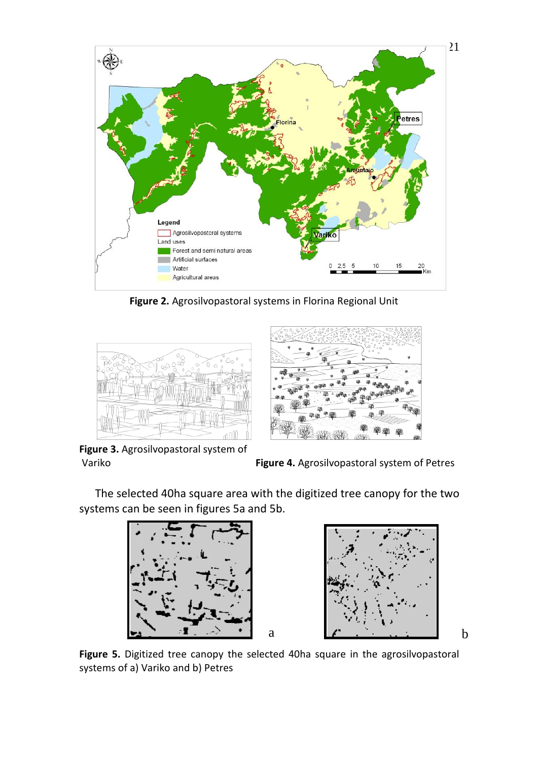

**Figure 2.** Agrosilvopastoral systems in Florina Regional Unit



**Figure 3.** Agrosilvopastoral system of

Variko **Figure 4.** Agrosilvopastoral system of Petres

The selected 40ha square area with the digitized tree canopy for the two systems can be seen in figures 5a and 5b.



**Figure 5.** Digitized tree canopy the selected 40ha square in the agrosilvopastoral systems of a) Variko and b) Petres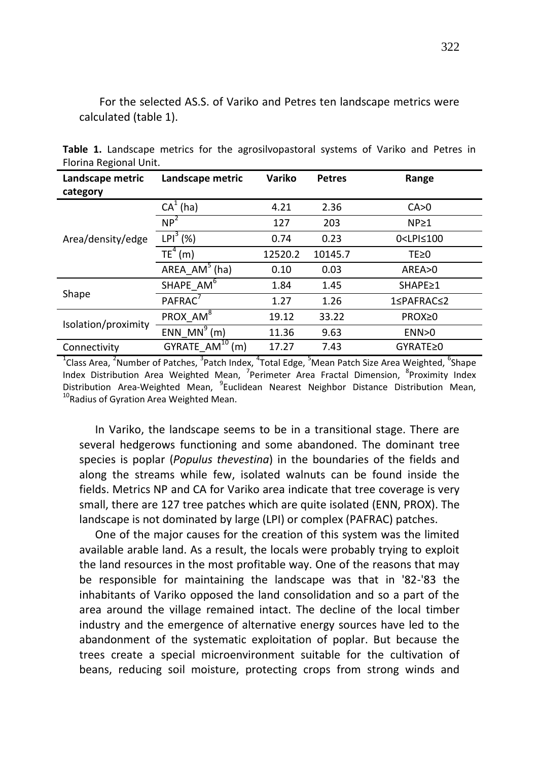For the selected AS.S. of Variko and Petres ten landscape metrics were calculated (table 1).

| Landscape metric<br>category | Landscape metric               | Variko  | <b>Petres</b> | Range                         |
|------------------------------|--------------------------------|---------|---------------|-------------------------------|
| Area/density/edge            | $CA1$ (ha)                     | 4.21    | 2.36          | CA>0                          |
|                              | $NP^2$                         | 127     | 203           | NP <sub>21</sub>              |
|                              | $LPI3$ (%)                     | 0.74    | 0.23          | 0 <lpi≤100< td=""></lpi≤100<> |
|                              | $TE4$ (m)                      | 12520.2 | 10145.7       | $TE \ge 0$                    |
|                              | AREA $AM^5$ (ha)               | 0.10    | 0.03          | AREA>0                        |
| Shape                        | SHAPE AM <sup>6</sup>          | 1.84    | 1.45          | SHAPE≥1                       |
|                              | PAFRAC <sup>7</sup>            | 1.27    | 1.26          | 1≤PAFRAC≤2                    |
| Isolation/proximity          | PROX_AM <sup>8</sup>           | 19.12   | 33.22         | PROX≥0                        |
|                              | ENN MN <sup>9</sup> $(m)$      | 11.36   | 9.63          | ENN>0                         |
| Connectivity                 | GYRATE_AM <sup>10</sup><br>(m) | 17.27   | 7.43          | GYRATE≥0                      |

**Table 1.** Landscape metrics for the agrosilvopastoral systems of Variko and Petres in Florina Regional Unit.

<sup>1</sup>Class Area, <sup>2</sup>Number of Patches, <sup>3</sup>Patch Index, <sup>4</sup>Total Edge, <sup>5</sup>Mean Patch Size Area Weighted, <sup>6</sup>Shape Index Distribution Area Weighted Mean, <sup>7</sup>Perimeter Area Fractal Dimension, <sup>8</sup>Proximity Index Distribution Area-Weighted Mean, <sup>9</sup>Euclidean Nearest Neighbor Distance Distribution Mean, <sup>10</sup>Radius of Gyration Area Weighted Mean.

In Variko, the landscape seems to be in a transitional stage. There are several hedgerows functioning and some abandoned. The dominant tree species is poplar (*Populus thevestina*) in the boundaries of the fields and along the streams while few, isolated walnuts can be found inside the fields. Metrics NP and CA for Variko area indicate that tree coverage is very small, there are 127 tree patches which are quite isolated (ENN, PROX). The landscape is not dominated by large (LPI) or complex (PAFRAC) patches.

One of the major causes for the creation of this system was the limited available arable land. As a result, the locals were probably trying to exploit the land resources in the most profitable way. One of the reasons that may be responsible for maintaining the landscape was that in '82-'83 the inhabitants of Variko opposed the land consolidation and so a part of the area around the village remained intact. The decline of the local timber industry and the emergence of alternative energy sources have led to the abandonment of the systematic exploitation of poplar. But because the trees create a special microenvironment suitable for the cultivation of beans, reducing soil moisture, protecting crops from strong winds and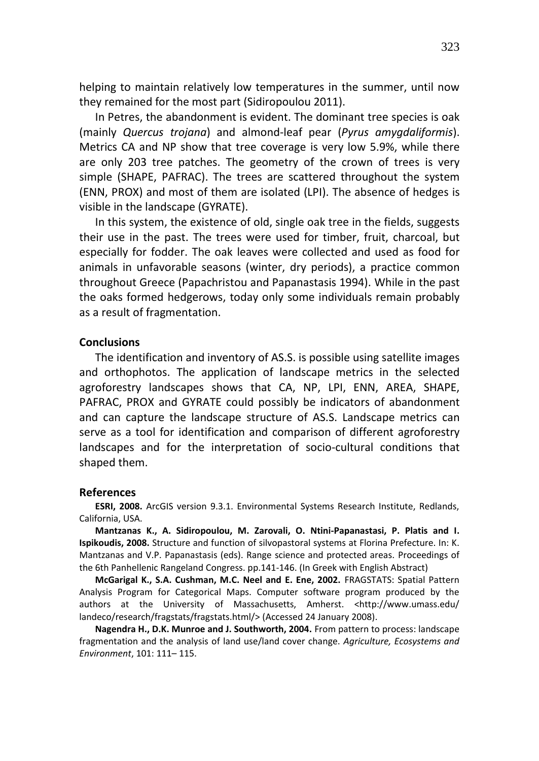helping to maintain relatively low temperatures in the summer, until now they remained for the most part (Sidiropoulou 2011).

In Petres, the abandonment is evident. The dominant tree species is oak (mainly *Quercus trojana*) and almond-leaf pear (*Pyrus amygdaliformis*). Metrics CA and NP show that tree coverage is very low 5.9%, while there are only 203 tree patches. The geometry of the crown of trees is very simple (SHAPE, PAFRAC). The trees are scattered throughout the system (ENN, PROX) and most of them are isolated (LPI). The absence of hedges is visible in the landscape (GYRATE).

In this system, the existence of old, single oak tree in the fields, suggests their use in the past. The trees were used for timber, fruit, charcoal, but especially for fodder. The oak leaves were collected and used as food for animals in unfavorable seasons (winter, dry periods), a practice common throughout Greece (Papachristou and Papanastasis 1994). While in the past the oaks formed hedgerows, today only some individuals remain probably as a result of fragmentation.

#### **Conclusions**

The identification and inventory of AS.S. is possible using satellite images and orthophotos. The application of landscape metrics in the selected agroforestry landscapes shows that CA, NP, LPI, ENN, AREA, SHAPE, PAFRAC, PROX and GYRATE could possibly be indicators of abandonment and can capture the landscape structure of AS.S. Landscape metrics can serve as a tool for identification and comparison of different agroforestry landscapes and for the interpretation of socio-cultural conditions that shaped them.

### **References**

**ESRI, 2008.** ArcGIS version 9.3.1. Environmental Systems Research Institute, Redlands, California, USA.

**Mantzanas K., Α. Sidiropoulou, Μ. Zarovali, Ο. Ntini-Papanastasi, P. Platis and Ι. Ispikoudis, 2008.** Structure and function of silvopastoral systems at Florina Prefecture. In: Κ. Mantzanas and V.P. Papanastasis (eds). Range science and protected areas. Proceedings of the 6th Panhellenic Rangeland Congress. pp.141-146. (In Greek with English Abstract)

**McGarigal K., S.A. Cushman, M.C. Neel and E. Ene, 2002.** FRAGSTATS: Spatial Pattern Analysis Program for Categorical Maps. Computer software program produced by the authors at the University of Massachusetts, Amherst. <http://www.umass.edu/ landeco/research/fragstats/fragstats.html/> (Accessed 24 January 2008).

**Nagendra H., D.K. Munroe and J. Southworth, 2004.** From pattern to process: landscape fragmentation and the analysis of land use/land cover change. *Agriculture, Ecosystems and Environment*, 101: 111– 115.